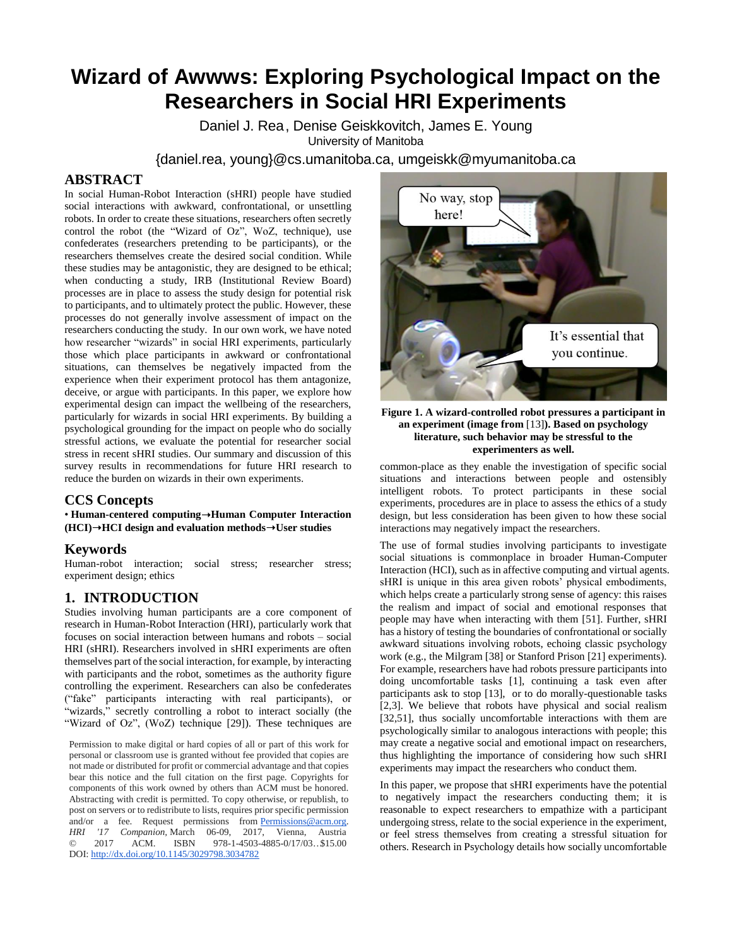# **Wizard of Awwws: Exploring Psychological Impact on the Researchers in Social HRI Experiments**

Daniel J. Rea, Denise Geiskkovitch, James E. Young University of Manitoba

{daniel.rea, young}@cs.umanitoba.ca, umgeiskk@myumanitoba.ca

# **ABSTRACT**

In social Human-Robot Interaction (sHRI) people have studied social interactions with awkward, confrontational, or unsettling robots. In order to create these situations, researchers often secretly control the robot (the "Wizard of Oz", WoZ, technique), use confederates (researchers pretending to be participants), or the researchers themselves create the desired social condition. While these studies may be antagonistic, they are designed to be ethical; when conducting a study, IRB (Institutional Review Board) processes are in place to assess the study design for potential risk to participants, and to ultimately protect the public. However, these processes do not generally involve assessment of impact on the researchers conducting the study. In our own work, we have noted how researcher "wizards" in social HRI experiments, particularly those which place participants in awkward or confrontational situations, can themselves be negatively impacted from the experience when their experiment protocol has them antagonize, deceive, or argue with participants. In this paper, we explore how experimental design can impact the wellbeing of the researchers, particularly for wizards in social HRI experiments. By building a psychological grounding for the impact on people who do socially stressful actions, we evaluate the potential for researcher social stress in recent sHRI studies. Our summary and discussion of this survey results in recommendations for future HRI research to reduce the burden on wizards in their own experiments.

#### **CCS Concepts**

• **Human-centered computing**➝**Human Computer Interaction (HCI)**➝**HCI design and evaluation methods**➝**User studies**

#### **Keywords**

Human-robot interaction; social stress; researcher stress; experiment design; ethics

# **1. INTRODUCTION**

Studies involving human participants are a core component of research in Human-Robot Interaction (HRI), particularly work that focuses on social interaction between humans and robots – social HRI (sHRI). Researchers involved in sHRI experiments are often themselves part of the social interaction, for example, by interacting with participants and the robot, sometimes as the authority figure controlling the experiment. Researchers can also be confederates ("fake" participants interacting with real participants), or "wizards," secretly controlling a robot to interact socially (the "Wizard of Oz", (WoZ) technique [29]). These techniques are

Permission to make digital or hard copies of all or part of this work for personal or classroom use is granted without fee provided that copies are not made or distributed for profit or commercial advantage and that copies bear this notice and the full citation on the first page. Copyrights for components of this work owned by others than ACM must be honored. Abstracting with credit is permitted. To copy otherwise, or republish, to post on servers or to redistribute to lists, requires prior specific permission and/or a fee. Request permissions from [Permissions@acm.org.](mailto:Permissions@acm.org) *HRI '17 Companion,* March 06-09, 2017, Vienna, Austria © 2017 ACM. ISBN 978-1-4503-4885-0/17/03…\$15.00 DOI: <http://dx.doi.org/10.1145/3029798.3034782>



**Figure 1. A wizard-controlled robot pressures a participant in an experiment (image from** [13]**). Based on psychology literature, such behavior may be stressful to the experimenters as well.**

<span id="page-0-0"></span>common-place as they enable the investigation of specific social situations and interactions between people and ostensibly intelligent robots. To protect participants in these social experiments, procedures are in place to assess the ethics of a study design, but less consideration has been given to how these social interactions may negatively impact the researchers.

The use of formal studies involving participants to investigate social situations is commonplace in broader Human-Computer Interaction (HCI), such as in affective computing and virtual agents. sHRI is unique in this area given robots' physical embodiments, which helps create a particularly strong sense of agency: this raises the realism and impact of social and emotional responses that people may have when interacting with them [51]. Further, sHRI has a history of testing the boundaries of confrontational or socially awkward situations involving robots, echoing classic psychology work (e.g., the Milgram [38] or Stanford Prison [21] experiments). For example, researchers have had robots pressure participants into doing uncomfortable tasks [1], continuing a task even after participants ask to stop [13], or to do morally-questionable tasks [2,3]. We believe that robots have physical and social realism [32,51], thus socially uncomfortable interactions with them are psychologically similar to analogous interactions with people; this may create a negative social and emotional impact on researchers, thus highlighting the importance of considering how such sHRI experiments may impact the researchers who conduct them.

In this paper, we propose that sHRI experiments have the potential to negatively impact the researchers conducting them; it is reasonable to expect researchers to empathize with a participant undergoing stress, relate to the social experience in the experiment, or feel stress themselves from creating a stressful situation for others. Research in Psychology details how socially uncomfortable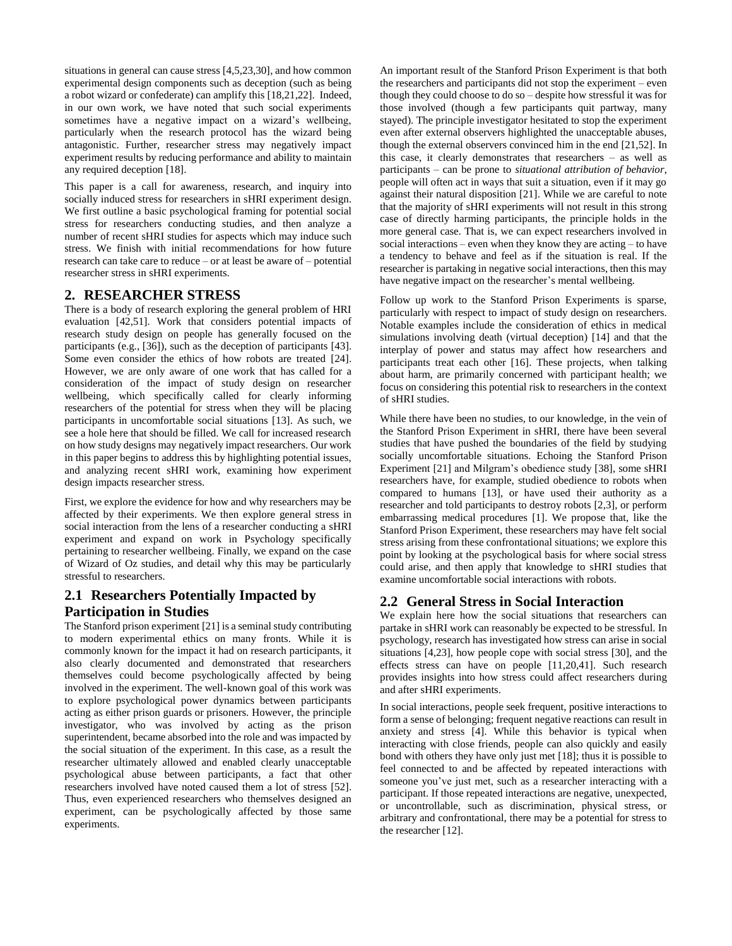situations in general can cause stress [4,5,23,30], and how common experimental design components such as deception (such as being a robot wizard or confederate) can amplify this [18,21,22]. Indeed, in our own work, we have noted that such social experiments sometimes have a negative impact on a wizard's wellbeing, particularly when the research protocol has the wizard being antagonistic. Further, researcher stress may negatively impact experiment results by reducing performance and ability to maintain any required deception [18].

This paper is a call for awareness, research, and inquiry into socially induced stress for researchers in sHRI experiment design. We first outline a basic psychological framing for potential social stress for researchers conducting studies, and then analyze a number of recent sHRI studies for aspects which may induce such stress. We finish with initial recommendations for how future research can take care to reduce – or at least be aware of – potential researcher stress in sHRI experiments.

# **2. RESEARCHER STRESS**

There is a body of research exploring the general problem of HRI evaluation [42,51]. Work that considers potential impacts of research study design on people has generally focused on the participants (e.g., [36]), such as the deception of participants [43]. Some even consider the ethics of how robots are treated [24]. However, we are only aware of one work that has called for a consideration of the impact of study design on researcher wellbeing, which specifically called for clearly informing researchers of the potential for stress when they will be placing participants in uncomfortable social situations [13]. As such, we see a hole here that should be filled. We call for increased research on how study designs may negatively impact researchers. Our work in this paper begins to address this by highlighting potential issues, and analyzing recent sHRI work, examining how experiment design impacts researcher stress.

First, we explore the evidence for how and why researchers may be affected by their experiments. We then explore general stress in social interaction from the lens of a researcher conducting a sHRI experiment and expand on work in Psychology specifically pertaining to researcher wellbeing. Finally, we expand on the case of Wizard of Oz studies, and detail why this may be particularly stressful to researchers.

# **2.1 Researchers Potentially Impacted by Participation in Studies**

The Stanford prison experiment [21] is a seminal study contributing to modern experimental ethics on many fronts. While it is commonly known for the impact it had on research participants, it also clearly documented and demonstrated that researchers themselves could become psychologically affected by being involved in the experiment. The well-known goal of this work was to explore psychological power dynamics between participants acting as either prison guards or prisoners. However, the principle investigator, who was involved by acting as the prison superintendent, became absorbed into the role and was impacted by the social situation of the experiment. In this case, as a result the researcher ultimately allowed and enabled clearly unacceptable psychological abuse between participants, a fact that other researchers involved have noted caused them a lot of stress [52]. Thus, even experienced researchers who themselves designed an experiment, can be psychologically affected by those same experiments.

An important result of the Stanford Prison Experiment is that both the researchers and participants did not stop the experiment – even though they could choose to do so – despite how stressful it was for those involved (though a few participants quit partway, many stayed). The principle investigator hesitated to stop the experiment even after external observers highlighted the unacceptable abuses, though the external observers convinced him in the end [21,52]. In this case, it clearly demonstrates that researchers – as well as participants – can be prone to *situational attribution of behavior*, people will often act in ways that suit a situation, even if it may go against their natural disposition [21]. While we are careful to note that the majority of sHRI experiments will not result in this strong case of directly harming participants, the principle holds in the more general case. That is, we can expect researchers involved in social interactions – even when they know they are acting – to have a tendency to behave and feel as if the situation is real. If the researcher is partaking in negative social interactions, then this may have negative impact on the researcher's mental wellbeing.

Follow up work to the Stanford Prison Experiments is sparse, particularly with respect to impact of study design on researchers. Notable examples include the consideration of ethics in medical simulations involving death (virtual deception) [14] and that the interplay of power and status may affect how researchers and participants treat each other [16]. These projects, when talking about harm, are primarily concerned with participant health; we focus on considering this potential risk to researchers in the context of sHRI studies.

While there have been no studies, to our knowledge, in the vein of the Stanford Prison Experiment in sHRI, there have been several studies that have pushed the boundaries of the field by studying socially uncomfortable situations. Echoing the Stanford Prison Experiment [21] and Milgram's obedience study [38], some sHRI researchers have, for example, studied obedience to robots when compared to humans [13], or have used their authority as a researcher and told participants to destroy robots [2,3], or perform embarrassing medical procedures [1]. We propose that, like the Stanford Prison Experiment, these researchers may have felt social stress arising from these confrontational situations; we explore this point by looking at the psychological basis for where social stress could arise, and then apply that knowledge to sHRI studies that examine uncomfortable social interactions with robots.

# **2.2 General Stress in Social Interaction**

We explain here how the social situations that researchers can partake in sHRI work can reasonably be expected to be stressful. In psychology, research has investigated how stress can arise in social situations [4,23], how people cope with social stress [30], and the effects stress can have on people [11,20,41]. Such research provides insights into how stress could affect researchers during and after sHRI experiments.

In social interactions, people seek frequent, positive interactions to form a sense of belonging; frequent negative reactions can result in anxiety and stress [4]. While this behavior is typical when interacting with close friends, people can also quickly and easily bond with others they have only just met [18]; thus it is possible to feel connected to and be affected by repeated interactions with someone you've just met, such as a researcher interacting with a participant. If those repeated interactions are negative, unexpected, or uncontrollable, such as discrimination, physical stress, or arbitrary and confrontational, there may be a potential for stress to the researcher [12].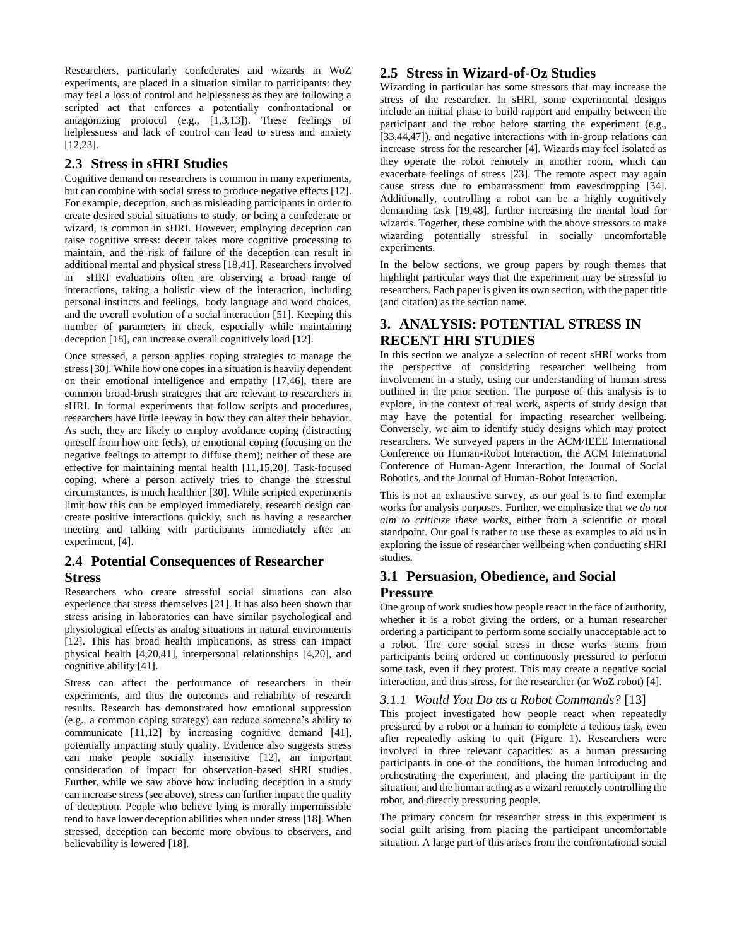Researchers, particularly confederates and wizards in WoZ experiments, are placed in a situation similar to participants: they may feel a loss of control and helplessness as they are following a scripted act that enforces a potentially confrontational or antagonizing protocol (e.g., [1,3,13]). These feelings of helplessness and lack of control can lead to stress and anxiety [12,23].

# **2.3 Stress in sHRI Studies**

Cognitive demand on researchers is common in many experiments, but can combine with social stress to produce negative effects [12]. For example, deception, such as misleading participants in order to create desired social situations to study, or being a confederate or wizard, is common in sHRI. However, employing deception can raise cognitive stress: deceit takes more cognitive processing to maintain, and the risk of failure of the deception can result in additional mental and physical stress [18,41]. Researchers involved in sHRI evaluations often are observing a broad range of interactions, taking a holistic view of the interaction, including personal instincts and feelings, body language and word choices, and the overall evolution of a social interaction [51]. Keeping this number of parameters in check, especially while maintaining deception [18], can increase overall cognitively load [12].

Once stressed, a person applies coping strategies to manage the stress [30]. While how one copes in a situation is heavily dependent on their emotional intelligence and empathy [17,46], there are common broad-brush strategies that are relevant to researchers in sHRI. In formal experiments that follow scripts and procedures, researchers have little leeway in how they can alter their behavior. As such, they are likely to employ avoidance coping (distracting oneself from how one feels), or emotional coping (focusing on the negative feelings to attempt to diffuse them); neither of these are effective for maintaining mental health [11,15,20]. Task-focused coping, where a person actively tries to change the stressful circumstances, is much healthier [30]. While scripted experiments limit how this can be employed immediately, research design can create positive interactions quickly, such as having a researcher meeting and talking with participants immediately after an experiment, [4].

# **2.4 Potential Consequences of Researcher Stress**

Researchers who create stressful social situations can also experience that stress themselves [21]. It has also been shown that stress arising in laboratories can have similar psychological and physiological effects as analog situations in natural environments [12]. This has broad health implications, as stress can impact physical health [4,20,41], interpersonal relationships [4,20], and cognitive ability [41].

Stress can affect the performance of researchers in their experiments, and thus the outcomes and reliability of research results. Research has demonstrated how emotional suppression (e.g., a common coping strategy) can reduce someone's ability to communicate [11,12] by increasing cognitive demand [41], potentially impacting study quality. Evidence also suggests stress can make people socially insensitive [12], an important consideration of impact for observation-based sHRI studies. Further, while we saw above how including deception in a study can increase stress (see above), stress can further impact the quality of deception. People who believe lying is morally impermissible tend to have lower deception abilities when under stress [18]. When stressed, deception can become more obvious to observers, and believability is lowered [18].

# **2.5 Stress in Wizard-of-Oz Studies**

Wizarding in particular has some stressors that may increase the stress of the researcher. In sHRI, some experimental designs include an initial phase to build rapport and empathy between the participant and the robot before starting the experiment (e.g., [33,44,47]), and negative interactions with in-group relations can increase stress for the researcher [4]. Wizards may feel isolated as they operate the robot remotely in another room, which can exacerbate feelings of stress [23]. The remote aspect may again cause stress due to embarrassment from eavesdropping [34]. Additionally, controlling a robot can be a highly cognitively demanding task [19,48], further increasing the mental load for wizards. Together, these combine with the above stressors to make wizarding potentially stressful in socially uncomfortable experiments.

In the below sections, we group papers by rough themes that highlight particular ways that the experiment may be stressful to researchers. Each paper is given its own section, with the paper title (and citation) as the section name.

# **3. ANALYSIS: POTENTIAL STRESS IN RECENT HRI STUDIES**

In this section we analyze a selection of recent sHRI works from the perspective of considering researcher wellbeing from involvement in a study, using our understanding of human stress outlined in the prior section. The purpose of this analysis is to explore, in the context of real work, aspects of study design that may have the potential for impacting researcher wellbeing. Conversely, we aim to identify study designs which may protect researchers. We surveyed papers in the ACM/IEEE International Conference on Human-Robot Interaction, the ACM International Conference of Human-Agent Interaction, the Journal of Social Robotics, and the Journal of Human-Robot Interaction.

This is not an exhaustive survey, as our goal is to find exemplar works for analysis purposes. Further, we emphasize that *we do not aim to criticize these works*, either from a scientific or moral standpoint. Our goal is rather to use these as examples to aid us in exploring the issue of researcher wellbeing when conducting sHRI studies.

# **3.1 Persuasion, Obedience, and Social Pressure**

One group of work studies how people react in the face of authority, whether it is a robot giving the orders, or a human researcher ordering a participant to perform some socially unacceptable act to a robot. The core social stress in these works stems from participants being ordered or continuously pressured to perform some task, even if they protest. This may create a negative social interaction, and thus stress, for the researcher (or WoZ robot) [4].

#### *3.1.1 Would You Do as a Robot Commands?* [13]

This project investigated how people react when repeatedly pressured by a robot or a human to complete a tedious task, even after repeatedly asking to quit [\(Figure 1\)](#page-0-0). Researchers were involved in three relevant capacities: as a human pressuring participants in one of the conditions, the human introducing and orchestrating the experiment, and placing the participant in the situation, and the human acting as a wizard remotely controlling the robot, and directly pressuring people.

The primary concern for researcher stress in this experiment is social guilt arising from placing the participant uncomfortable situation. A large part of this arises from the confrontational social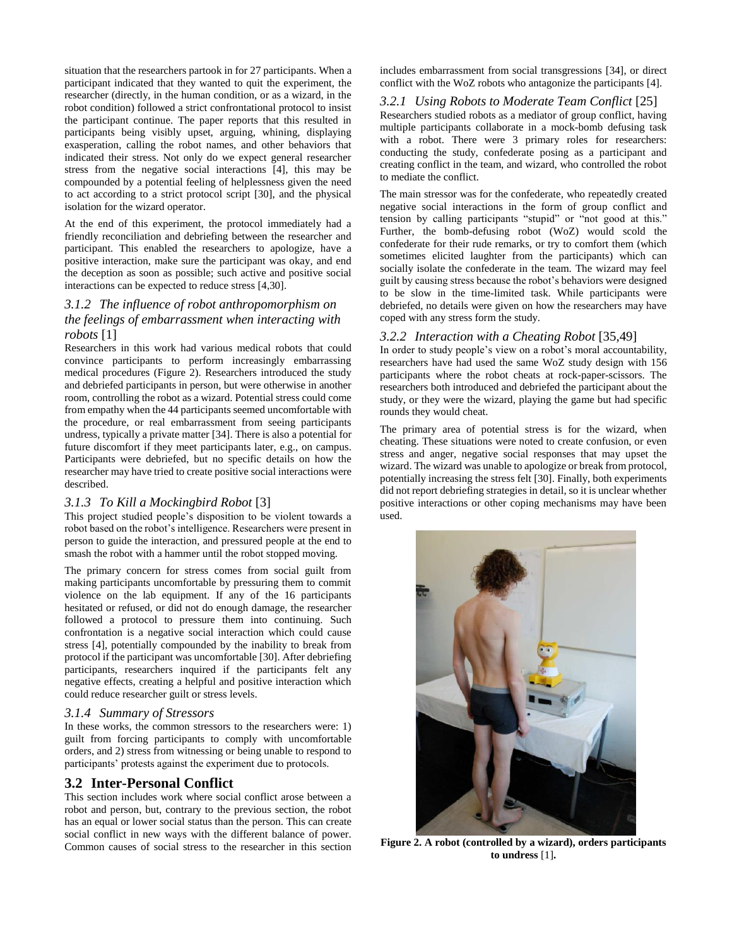situation that the researchers partook in for 27 participants. When a participant indicated that they wanted to quit the experiment, the researcher (directly, in the human condition, or as a wizard, in the robot condition) followed a strict confrontational protocol to insist the participant continue. The paper reports that this resulted in participants being visibly upset, arguing, whining, displaying exasperation, calling the robot names, and other behaviors that indicated their stress. Not only do we expect general researcher stress from the negative social interactions [4], this may be compounded by a potential feeling of helplessness given the need to act according to a strict protocol script [30], and the physical isolation for the wizard operator.

At the end of this experiment, the protocol immediately had a friendly reconciliation and debriefing between the researcher and participant. This enabled the researchers to apologize, have a positive interaction, make sure the participant was okay, and end the deception as soon as possible; such active and positive social interactions can be expected to reduce stress [4,30].

### *3.1.2 The influence of robot anthropomorphism on the feelings of embarrassment when interacting with robots* [1]

Researchers in this work had various medical robots that could convince participants to perform increasingly embarrassing medical procedures [\(Figure 2\)](#page-3-0). Researchers introduced the study and debriefed participants in person, but were otherwise in another room, controlling the robot as a wizard. Potential stress could come from empathy when the 44 participants seemed uncomfortable with the procedure, or real embarrassment from seeing participants undress, typically a private matter [34]. There is also a potential for future discomfort if they meet participants later, e.g., on campus. Participants were debriefed, but no specific details on how the researcher may have tried to create positive social interactions were described.

#### *3.1.3 To Kill a Mockingbird Robot* [3]

This project studied people's disposition to be violent towards a robot based on the robot's intelligence. Researchers were present in person to guide the interaction, and pressured people at the end to smash the robot with a hammer until the robot stopped moving.

The primary concern for stress comes from social guilt from making participants uncomfortable by pressuring them to commit violence on the lab equipment. If any of the 16 participants hesitated or refused, or did not do enough damage, the researcher followed a protocol to pressure them into continuing. Such confrontation is a negative social interaction which could cause stress [4], potentially compounded by the inability to break from protocol if the participant was uncomfortable [30]. After debriefing participants, researchers inquired if the participants felt any negative effects, creating a helpful and positive interaction which could reduce researcher guilt or stress levels.

#### *3.1.4 Summary of Stressors*

In these works, the common stressors to the researchers were: 1) guilt from forcing participants to comply with uncomfortable orders, and 2) stress from witnessing or being unable to respond to participants' protests against the experiment due to protocols.

# **3.2 Inter-Personal Conflict**

This section includes work where social conflict arose between a robot and person, but, contrary to the previous section, the robot has an equal or lower social status than the person. This can create social conflict in new ways with the different balance of power. Common causes of social stress to the researcher in this section

includes embarrassment from social transgressions [34], or direct conflict with the WoZ robots who antagonize the participants [4].

# *3.2.1 Using Robots to Moderate Team Conflict* [25]

Researchers studied robots as a mediator of group conflict, having multiple participants collaborate in a mock-bomb defusing task with a robot. There were 3 primary roles for researchers: conducting the study, confederate posing as a participant and creating conflict in the team, and wizard, who controlled the robot to mediate the conflict.

The main stressor was for the confederate, who repeatedly created negative social interactions in the form of group conflict and tension by calling participants "stupid" or "not good at this." Further, the bomb-defusing robot (WoZ) would scold the confederate for their rude remarks, or try to comfort them (which sometimes elicited laughter from the participants) which can socially isolate the confederate in the team. The wizard may feel guilt by causing stress because the robot's behaviors were designed to be slow in the time-limited task. While participants were debriefed, no details were given on how the researchers may have coped with any stress form the study.

# *3.2.2 Interaction with a Cheating Robot* [35,49]

In order to study people's view on a robot's moral accountability, researchers have had used the same WoZ study design with 156 participants where the robot cheats at rock-paper-scissors. The researchers both introduced and debriefed the participant about the study, or they were the wizard, playing the game but had specific rounds they would cheat.

The primary area of potential stress is for the wizard, when cheating. These situations were noted to create confusion, or even stress and anger, negative social responses that may upset the wizard. The wizard was unable to apologize or break from protocol, potentially increasing the stress felt [30]. Finally, both experiments did not report debriefing strategies in detail, so it is unclear whether positive interactions or other coping mechanisms may have been used.

<span id="page-3-0"></span>

**Figure 2. A robot (controlled by a wizard), orders participants to undress** [1]**.**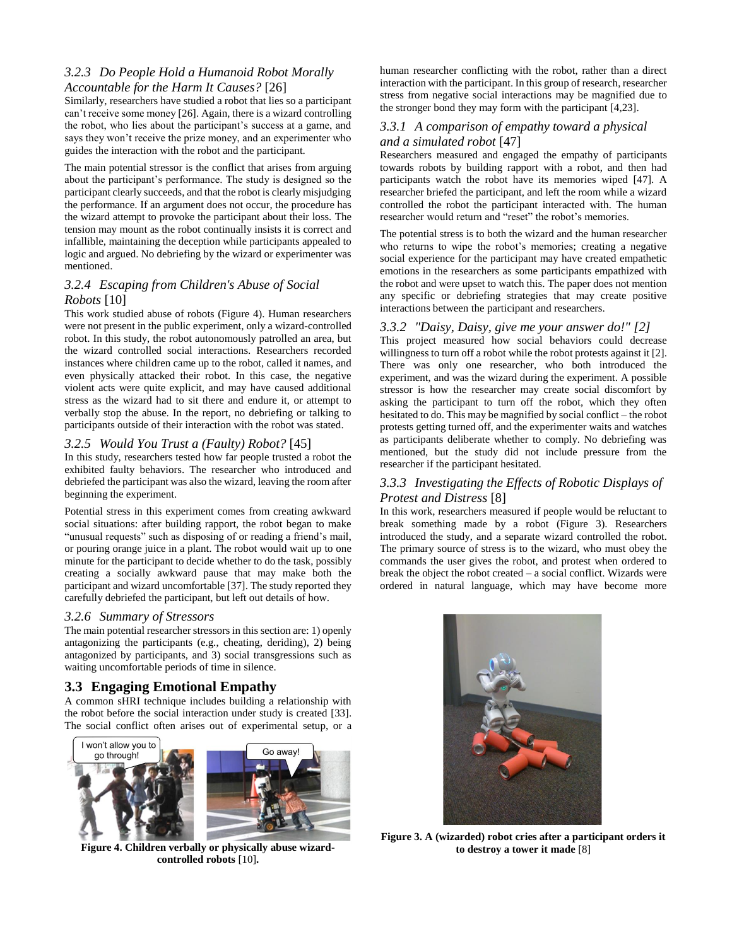#### *3.2.3 Do People Hold a Humanoid Robot Morally Accountable for the Harm It Causes?* [26]

Similarly, researchers have studied a robot that lies so a participant can't receive some money [26]. Again, there is a wizard controlling the robot, who lies about the participant's success at a game, and says they won't receive the prize money, and an experimenter who guides the interaction with the robot and the participant.

The main potential stressor is the conflict that arises from arguing about the participant's performance. The study is designed so the participant clearly succeeds, and that the robot is clearly misjudging the performance. If an argument does not occur, the procedure has the wizard attempt to provoke the participant about their loss. The tension may mount as the robot continually insists it is correct and infallible, maintaining the deception while participants appealed to logic and argued. No debriefing by the wizard or experimenter was mentioned.

#### *3.2.4 Escaping from Children's Abuse of Social Robots* [10]

This work studied abuse of robots [\(Figure 4\)](#page-4-0). Human researchers were not present in the public experiment, only a wizard-controlled robot. In this study, the robot autonomously patrolled an area, but the wizard controlled social interactions. Researchers recorded instances where children came up to the robot, called it names, and even physically attacked their robot. In this case, the negative violent acts were quite explicit, and may have caused additional stress as the wizard had to sit there and endure it, or attempt to verbally stop the abuse. In the report, no debriefing or talking to participants outside of their interaction with the robot was stated.

## *3.2.5 Would You Trust a (Faulty) Robot?* [45]

In this study, researchers tested how far people trusted a robot the exhibited faulty behaviors. The researcher who introduced and debriefed the participant was also the wizard, leaving the room after beginning the experiment.

Potential stress in this experiment comes from creating awkward social situations: after building rapport, the robot began to make "unusual requests" such as disposing of or reading a friend's mail, or pouring orange juice in a plant. The robot would wait up to one minute for the participant to decide whether to do the task, possibly creating a socially awkward pause that may make both the participant and wizard uncomfortable [37]. The study reported they carefully debriefed the participant, but left out details of how.

#### *3.2.6 Summary of Stressors*

The main potential researcher stressors in this section are: 1) openly antagonizing the participants (e.g., cheating, deriding), 2) being antagonized by participants, and 3) social transgressions such as waiting uncomfortable periods of time in silence.

# **3.3 Engaging Emotional Empathy**

A common sHRI technique includes building a relationship with the robot before the social interaction under study is created [33]. The social conflict often arises out of experimental setup, or a

<span id="page-4-0"></span>

**Figure 4. Children verbally or physically abuse wizardcontrolled robots** [10]**.**

human researcher conflicting with the robot, rather than a direct interaction with the participant. In this group of research, researcher stress from negative social interactions may be magnified due to the stronger bond they may form with the participant [4,23].

## *3.3.1 A comparison of empathy toward a physical and a simulated robot* [47]

Researchers measured and engaged the empathy of participants towards robots by building rapport with a robot, and then had participants watch the robot have its memories wiped [47]. A researcher briefed the participant, and left the room while a wizard controlled the robot the participant interacted with. The human researcher would return and "reset" the robot's memories.

The potential stress is to both the wizard and the human researcher who returns to wipe the robot's memories; creating a negative social experience for the participant may have created empathetic emotions in the researchers as some participants empathized with the robot and were upset to watch this. The paper does not mention any specific or debriefing strategies that may create positive interactions between the participant and researchers.

#### *3.3.2 "Daisy, Daisy, give me your answer do!" [2]*

This project measured how social behaviors could decrease willingness to turn off a robot while the robot protests against it [2]. There was only one researcher, who both introduced the experiment, and was the wizard during the experiment. A possible stressor is how the researcher may create social discomfort by asking the participant to turn off the robot, which they often hesitated to do. This may be magnified by social conflict – the robot protests getting turned off, and the experimenter waits and watches as participants deliberate whether to comply. No debriefing was mentioned, but the study did not include pressure from the researcher if the participant hesitated.

## *3.3.3 Investigating the Effects of Robotic Displays of Protest and Distress* [8]

In this work, researchers measured if people would be reluctant to break something made by a robot [\(Figure 3\)](#page-4-1). Researchers introduced the study, and a separate wizard controlled the robot. The primary source of stress is to the wizard, who must obey the commands the user gives the robot, and protest when ordered to break the object the robot created – a social conflict. Wizards were ordered in natural language, which may have become more

<span id="page-4-1"></span>

**Figure 3. A (wizarded) robot cries after a participant orders it to destroy a tower it made** [8]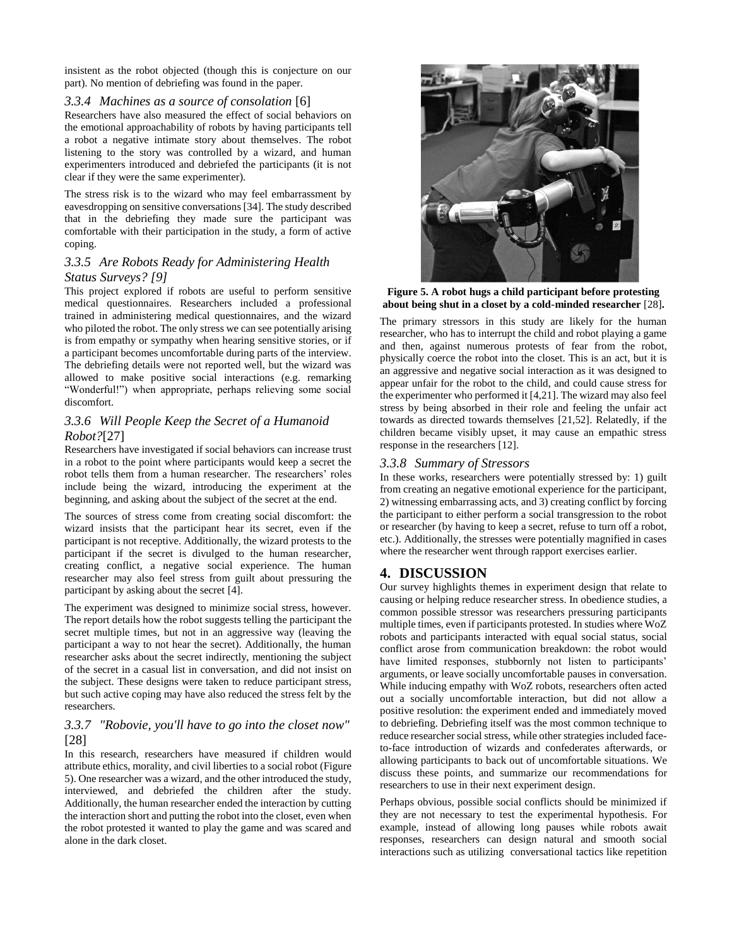insistent as the robot objected (though this is conjecture on our part). No mention of debriefing was found in the paper.

#### *3.3.4 Machines as a source of consolation* [6]

Researchers have also measured the effect of social behaviors on the emotional approachability of robots by having participants tell a robot a negative intimate story about themselves. The robot listening to the story was controlled by a wizard, and human experimenters introduced and debriefed the participants (it is not clear if they were the same experimenter).

The stress risk is to the wizard who may feel embarrassment by eavesdropping on sensitive conversations [34]. The study described that in the debriefing they made sure the participant was comfortable with their participation in the study, a form of active coping.

## *3.3.5 Are Robots Ready for Administering Health Status Surveys? [9]*

This project explored if robots are useful to perform sensitive medical questionnaires. Researchers included a professional trained in administering medical questionnaires, and the wizard who piloted the robot. The only stress we can see potentially arising is from empathy or sympathy when hearing sensitive stories, or if a participant becomes uncomfortable during parts of the interview. The debriefing details were not reported well, but the wizard was allowed to make positive social interactions (e.g. remarking "Wonderful!") when appropriate, perhaps relieving some social discomfort.

# *3.3.6 Will People Keep the Secret of a Humanoid Robot?*[27]

Researchers have investigated if social behaviors can increase trust in a robot to the point where participants would keep a secret the robot tells them from a human researcher. The researchers' roles include being the wizard, introducing the experiment at the beginning, and asking about the subject of the secret at the end.

The sources of stress come from creating social discomfort: the wizard insists that the participant hear its secret, even if the participant is not receptive. Additionally, the wizard protests to the participant if the secret is divulged to the human researcher, creating conflict, a negative social experience. The human researcher may also feel stress from guilt about pressuring the participant by asking about the secret [4].

The experiment was designed to minimize social stress, however. The report details how the robot suggests telling the participant the secret multiple times, but not in an aggressive way (leaving the participant a way to not hear the secret). Additionally, the human researcher asks about the secret indirectly, mentioning the subject of the secret in a casual list in conversation, and did not insist on the subject. These designs were taken to reduce participant stress, but such active coping may have also reduced the stress felt by the researchers.

#### *3.3.7 "Robovie, you'll have to go into the closet now"*  [28]

In this research, researchers have measured if children would attribute ethics, morality, and civil liberties to a social robot [\(Figure](#page-5-0)  [5\)](#page-5-0). One researcher was a wizard, and the other introduced the study, interviewed, and debriefed the children after the study. Additionally, the human researcher ended the interaction by cutting the interaction short and putting the robot into the closet, even when the robot protested it wanted to play the game and was scared and alone in the dark closet.



**Figure 5. A robot hugs a child participant before protesting about being shut in a closet by a cold-minded researcher** [28]**.**

<span id="page-5-0"></span>The primary stressors in this study are likely for the human researcher, who has to interrupt the child and robot playing a game and then, against numerous protests of fear from the robot, physically coerce the robot into the closet. This is an act, but it is an aggressive and negative social interaction as it was designed to appear unfair for the robot to the child, and could cause stress for the experimenter who performed it [4,21]. The wizard may also feel stress by being absorbed in their role and feeling the unfair act towards as directed towards themselves [21,52]. Relatedly, if the children became visibly upset, it may cause an empathic stress response in the researchers [12].

#### *3.3.8 Summary of Stressors*

In these works, researchers were potentially stressed by: 1) guilt from creating an negative emotional experience for the participant, 2) witnessing embarrassing acts, and 3) creating conflict by forcing the participant to either perform a social transgression to the robot or researcher (by having to keep a secret, refuse to turn off a robot, etc.). Additionally, the stresses were potentially magnified in cases where the researcher went through rapport exercises earlier.

# **4. DISCUSSION**

Our survey highlights themes in experiment design that relate to causing or helping reduce researcher stress. In obedience studies, a common possible stressor was researchers pressuring participants multiple times, even if participants protested. In studies where WoZ robots and participants interacted with equal social status, social conflict arose from communication breakdown: the robot would have limited responses, stubbornly not listen to participants' arguments, or leave socially uncomfortable pauses in conversation. While inducing empathy with WoZ robots, researchers often acted out a socially uncomfortable interaction, but did not allow a positive resolution: the experiment ended and immediately moved to debriefing. Debriefing itself was the most common technique to reduce researcher social stress, while other strategies included faceto-face introduction of wizards and confederates afterwards, or allowing participants to back out of uncomfortable situations. We discuss these points, and summarize our recommendations for researchers to use in their next experiment design.

Perhaps obvious, possible social conflicts should be minimized if they are not necessary to test the experimental hypothesis. For example, instead of allowing long pauses while robots await responses, researchers can design natural and smooth social interactions such as utilizing conversational tactics like repetition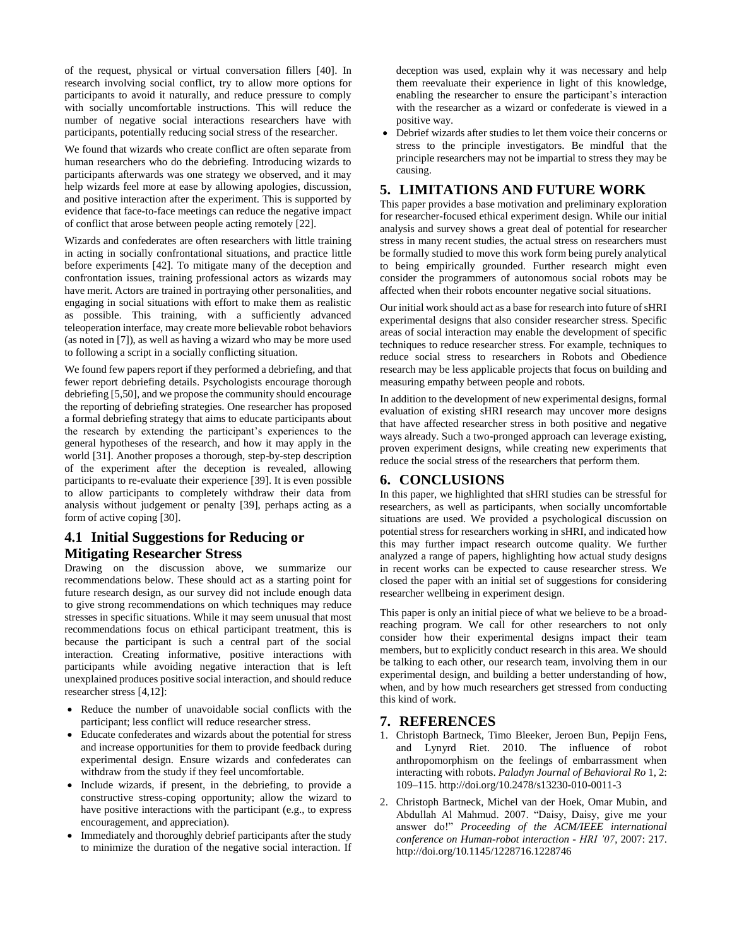of the request, physical or virtual conversation fillers [40]. In research involving social conflict, try to allow more options for participants to avoid it naturally, and reduce pressure to comply with socially uncomfortable instructions. This will reduce the number of negative social interactions researchers have with participants, potentially reducing social stress of the researcher.

We found that wizards who create conflict are often separate from human researchers who do the debriefing. Introducing wizards to participants afterwards was one strategy we observed, and it may help wizards feel more at ease by allowing apologies, discussion, and positive interaction after the experiment. This is supported by evidence that face-to-face meetings can reduce the negative impact of conflict that arose between people acting remotely [22].

Wizards and confederates are often researchers with little training in acting in socially confrontational situations, and practice little before experiments [42]. To mitigate many of the deception and confrontation issues, training professional actors as wizards may have merit. Actors are trained in portraying other personalities, and engaging in social situations with effort to make them as realistic as possible. This training, with a sufficiently advanced teleoperation interface, may create more believable robot behaviors (as noted in [7]), as well as having a wizard who may be more used to following a script in a socially conflicting situation.

We found few papers report if they performed a debriefing, and that fewer report debriefing details. Psychologists encourage thorough debriefing [5,50], and we propose the community should encourage the reporting of debriefing strategies. One researcher has proposed a formal debriefing strategy that aims to educate participants about the research by extending the participant's experiences to the general hypotheses of the research, and how it may apply in the world [31]. Another proposes a thorough, step-by-step description of the experiment after the deception is revealed, allowing participants to re-evaluate their experience [39]. It is even possible to allow participants to completely withdraw their data from analysis without judgement or penalty [39], perhaps acting as a form of active coping [30].

## **4.1 Initial Suggestions for Reducing or Mitigating Researcher Stress**

Drawing on the discussion above, we summarize our recommendations below. These should act as a starting point for future research design, as our survey did not include enough data to give strong recommendations on which techniques may reduce stresses in specific situations. While it may seem unusual that most recommendations focus on ethical participant treatment, this is because the participant is such a central part of the social interaction. Creating informative, positive interactions with participants while avoiding negative interaction that is left unexplained produces positive social interaction, and should reduce researcher stress [4,12]:

- Reduce the number of unavoidable social conflicts with the participant; less conflict will reduce researcher stress.
- Educate confederates and wizards about the potential for stress and increase opportunities for them to provide feedback during experimental design. Ensure wizards and confederates can withdraw from the study if they feel uncomfortable.
- Include wizards, if present, in the debriefing, to provide a constructive stress-coping opportunity; allow the wizard to have positive interactions with the participant (e.g., to express encouragement, and appreciation).
- Immediately and thoroughly debrief participants after the study to minimize the duration of the negative social interaction. If

deception was used, explain why it was necessary and help them reevaluate their experience in light of this knowledge, enabling the researcher to ensure the participant's interaction with the researcher as a wizard or confederate is viewed in a positive way.

 Debrief wizards after studies to let them voice their concerns or stress to the principle investigators. Be mindful that the principle researchers may not be impartial to stress they may be causing.

# **5. LIMITATIONS AND FUTURE WORK**

This paper provides a base motivation and preliminary exploration for researcher-focused ethical experiment design. While our initial analysis and survey shows a great deal of potential for researcher stress in many recent studies, the actual stress on researchers must be formally studied to move this work form being purely analytical to being empirically grounded. Further research might even consider the programmers of autonomous social robots may be affected when their robots encounter negative social situations.

Our initial work should act as a base for research into future of sHRI experimental designs that also consider researcher stress. Specific areas of social interaction may enable the development of specific techniques to reduce researcher stress. For example, techniques to reduce social stress to researchers in Robots and Obedience research may be less applicable projects that focus on building and measuring empathy between people and robots.

In addition to the development of new experimental designs, formal evaluation of existing sHRI research may uncover more designs that have affected researcher stress in both positive and negative ways already. Such a two-pronged approach can leverage existing, proven experiment designs, while creating new experiments that reduce the social stress of the researchers that perform them.

# **6. CONCLUSIONS**

In this paper, we highlighted that sHRI studies can be stressful for researchers, as well as participants, when socially uncomfortable situations are used. We provided a psychological discussion on potential stress for researchers working in sHRI, and indicated how this may further impact research outcome quality. We further analyzed a range of papers, highlighting how actual study designs in recent works can be expected to cause researcher stress. We closed the paper with an initial set of suggestions for considering researcher wellbeing in experiment design.

This paper is only an initial piece of what we believe to be a broadreaching program. We call for other researchers to not only consider how their experimental designs impact their team members, but to explicitly conduct research in this area. We should be talking to each other, our research team, involving them in our experimental design, and building a better understanding of how, when, and by how much researchers get stressed from conducting this kind of work.

# **7. REFERENCES**

- 1. Christoph Bartneck, Timo Bleeker, Jeroen Bun, Pepijn Fens, and Lynyrd Riet. 2010. The influence of robot anthropomorphism on the feelings of embarrassment when interacting with robots. *Paladyn Journal of Behavioral Ro* 1, 2: 109–115. http://doi.org/10.2478/s13230-010-0011-3
- 2. Christoph Bartneck, Michel van der Hoek, Omar Mubin, and Abdullah Al Mahmud. 2007. "Daisy, Daisy, give me your answer do!" *Proceeding of the ACM/IEEE international conference on Human-robot interaction - HRI '07*, 2007: 217. http://doi.org/10.1145/1228716.1228746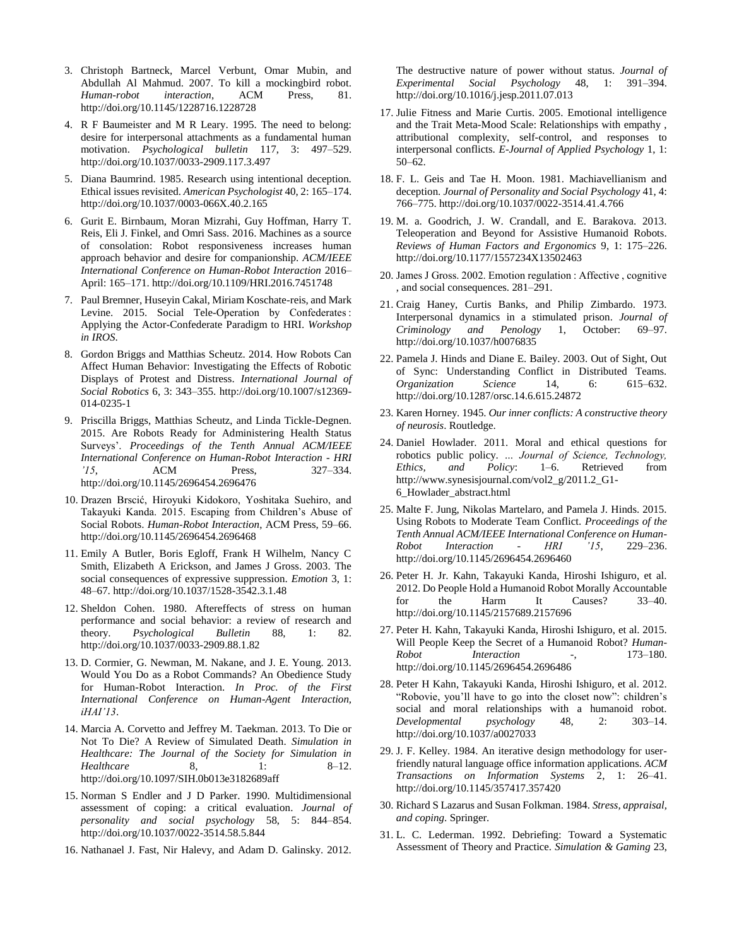- 3. Christoph Bartneck, Marcel Verbunt, Omar Mubin, and Abdullah Al Mahmud. 2007. To kill a mockingbird robot. *Human-robot interaction*, ACM Press, 81. http://doi.org/10.1145/1228716.1228728
- 4. R F Baumeister and M R Leary. 1995. The need to belong: desire for interpersonal attachments as a fundamental human motivation. *Psychological bulletin* 117, 3: 497–529. http://doi.org/10.1037/0033-2909.117.3.497
- 5. Diana Baumrind. 1985. Research using intentional deception. Ethical issues revisited. *American Psychologist* 40, 2: 165–174. http://doi.org/10.1037/0003-066X.40.2.165
- 6. Gurit E. Birnbaum, Moran Mizrahi, Guy Hoffman, Harry T. Reis, Eli J. Finkel, and Omri Sass. 2016. Machines as a source of consolation: Robot responsiveness increases human approach behavior and desire for companionship. *ACM/IEEE International Conference on Human-Robot Interaction* 2016– April: 165–171. http://doi.org/10.1109/HRI.2016.7451748
- 7. Paul Bremner, Huseyin Cakal, Miriam Koschate-reis, and Mark Levine. 2015. Social Tele-Operation by Confederates : Applying the Actor-Confederate Paradigm to HRI. *Workshop in IROS*.
- 8. Gordon Briggs and Matthias Scheutz. 2014. How Robots Can Affect Human Behavior: Investigating the Effects of Robotic Displays of Protest and Distress. *International Journal of Social Robotics* 6, 3: 343–355. http://doi.org/10.1007/s12369- 014-0235-1
- 9. Priscilla Briggs, Matthias Scheutz, and Linda Tickle-Degnen. 2015. Are Robots Ready for Administering Health Status Surveys'. *Proceedings of the Tenth Annual ACM/IEEE International Conference on Human-Robot Interaction - HRI '15*, ACM Press, 327–334. http://doi.org/10.1145/2696454.2696476
- 10. Drazen Brscić, Hiroyuki Kidokoro, Yoshitaka Suehiro, and Takayuki Kanda. 2015. Escaping from Children's Abuse of Social Robots. *Human-Robot Interaction*, ACM Press, 59–66. http://doi.org/10.1145/2696454.2696468
- 11. Emily A Butler, Boris Egloff, Frank H Wilhelm, Nancy C Smith, Elizabeth A Erickson, and James J Gross. 2003. The social consequences of expressive suppression. *Emotion* 3, 1: 48–67. http://doi.org/10.1037/1528-3542.3.1.48
- 12. Sheldon Cohen. 1980. Aftereffects of stress on human performance and social behavior: a review of research and theory. *Psychological Bulletin* 88, 1: 82. http://doi.org/10.1037/0033-2909.88.1.82
- 13. D. Cormier, G. Newman, M. Nakane, and J. E. Young. 2013. Would You Do as a Robot Commands? An Obedience Study for Human-Robot Interaction. *In Proc. of the First International Conference on Human-Agent Interaction, iHAI'13*.
- 14. Marcia A. Corvetto and Jeffrey M. Taekman. 2013. To Die or Not To Die? A Review of Simulated Death. *Simulation in Healthcare: The Journal of the Society for Simulation in Healthcare* 8, 1: 8–12. http://doi.org/10.1097/SIH.0b013e3182689aff
- 15. Norman S Endler and J D Parker. 1990. Multidimensional assessment of coping: a critical evaluation. *Journal of personality and social psychology* 58, 5: 844–854. http://doi.org/10.1037/0022-3514.58.5.844
- 16. Nathanael J. Fast, Nir Halevy, and Adam D. Galinsky. 2012.

The destructive nature of power without status. *Journal of Experimental Social Psychology* 48, 1: 391–394. http://doi.org/10.1016/j.jesp.2011.07.013

- 17. Julie Fitness and Marie Curtis. 2005. Emotional intelligence and the Trait Meta-Mood Scale: Relationships with empathy , attributional complexity, self-control, and responses to interpersonal conflicts. *E-Journal of Applied Psychology* 1, 1: 50–62.
- 18. F. L. Geis and Tae H. Moon. 1981. Machiavellianism and deception. *Journal of Personality and Social Psychology* 41, 4: 766–775. http://doi.org/10.1037/0022-3514.41.4.766
- 19. M. a. Goodrich, J. W. Crandall, and E. Barakova. 2013. Teleoperation and Beyond for Assistive Humanoid Robots. *Reviews of Human Factors and Ergonomics* 9, 1: 175–226. http://doi.org/10.1177/1557234X13502463
- 20. James J Gross. 2002. Emotion regulation : Affective , cognitive , and social consequences. 281–291.
- 21. Craig Haney, Curtis Banks, and Philip Zimbardo. 1973. Interpersonal dynamics in a stimulated prison. *Journal of Criminology and Penology* 1, October: 69–97. http://doi.org/10.1037/h0076835
- 22. Pamela J. Hinds and Diane E. Bailey. 2003. Out of Sight, Out of Sync: Understanding Conflict in Distributed Teams. *Organization Science* 14, 6: 615–632. http://doi.org/10.1287/orsc.14.6.615.24872
- 23. Karen Horney. 1945. *Our inner conflicts: A constructive theory of neurosis*. Routledge.
- 24. Daniel Howlader. 2011. Moral and ethical questions for robotics public policy. *… Journal of Science, Technology, Ethics, and Policy*: 1–6. Retrieved from http://www.synesisjournal.com/vol2\_g/2011.2\_G1- 6\_Howlader\_abstract.html
- 25. Malte F. Jung, Nikolas Martelaro, and Pamela J. Hinds. 2015. Using Robots to Moderate Team Conflict. *Proceedings of the Tenth Annual ACM/IEEE International Conference on Human-Robot Interaction - HRI '15*, 229–236. http://doi.org/10.1145/2696454.2696460
- 26. Peter H. Jr. Kahn, Takayuki Kanda, Hiroshi Ishiguro, et al. 2012. Do People Hold a Humanoid Robot Morally Accountable<br>for the Harm It Causes? 33–40. for the Harm It Causes? http://doi.org/10.1145/2157689.2157696
- 27. Peter H. Kahn, Takayuki Kanda, Hiroshi Ishiguro, et al. 2015. Will People Keep the Secret of a Humanoid Robot? *Human-Robot Interaction -*, 173–180. http://doi.org/10.1145/2696454.2696486
- 28. Peter H Kahn, Takayuki Kanda, Hiroshi Ishiguro, et al. 2012. "Robovie, you'll have to go into the closet now": children's social and moral relationships with a humanoid robot. *Developmental psychology* 48, 2: 303–14. http://doi.org/10.1037/a0027033
- 29. J. F. Kelley. 1984. An iterative design methodology for userfriendly natural language office information applications. *ACM Transactions on Information Systems* 2, 1: 26–41. http://doi.org/10.1145/357417.357420
- 30. Richard S Lazarus and Susan Folkman. 1984. *Stress, appraisal, and coping*. Springer.
- 31. L. C. Lederman. 1992. Debriefing: Toward a Systematic Assessment of Theory and Practice. *Simulation & Gaming* 23,